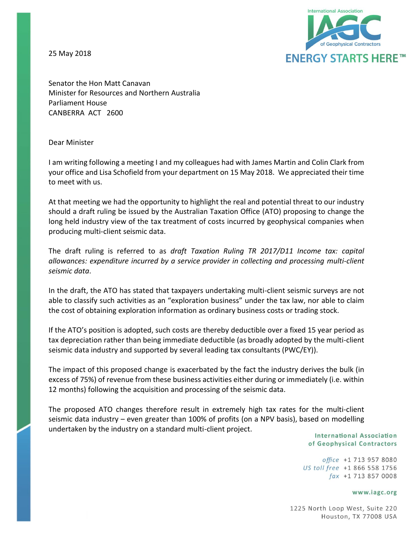25 May 2018



Senator the Hon Matt Canavan Minister for Resources and Northern Australia Parliament House CANBERRA ACT 2600

### Dear Minister

I am writing following a meeting I and my colleagues had with James Martin and Colin Clark from your office and Lisa Schofield from your department on 15 May 2018. We appreciated their time to meet with us.

At that meeting we had the opportunity to highlight the real and potential threat to our industry should a draft ruling be issued by the Australian Taxation Office (ATO) proposing to change the long held industry view of the tax treatment of costs incurred by geophysical companies when producing multi-client seismic data.

The draft ruling is referred to as *draft Taxation Ruling TR 2017/D11 Income tax: capital allowances: expenditure incurred by a service provider in collecting and processing multi-client seismic data*.

In the draft, the ATO has stated that taxpayers undertaking multi-client seismic surveys are not able to classify such activities as an "exploration business" under the tax law, nor able to claim the cost of obtaining exploration information as ordinary business costs or trading stock.

If the ATO's position is adopted, such costs are thereby deductible over a fixed 15 year period as tax depreciation rather than being immediate deductible (as broadly adopted by the multi-client seismic data industry and supported by several leading tax consultants (PWC/EY)).

The impact of this proposed change is exacerbated by the fact the industry derives the bulk (in excess of 75%) of revenue from these business activities either during or immediately (i.e. within 12 months) following the acquisition and processing of the seismic data.

The proposed ATO changes therefore result in extremely high tax rates for the multi-client seismic data industry – even greater than 100% of profits (on a NPV basis), based on modelling undertaken by the industry on a standard multi-client project.

**International Association** of Geophysical Contractors

office +1 713 957 8080 US toll free +1 866 558 1756  $\int ax +1$  713 857 0008

#### www.iagc.org

1225 North Loop West, Suite 220 Houston, TX 77008 USA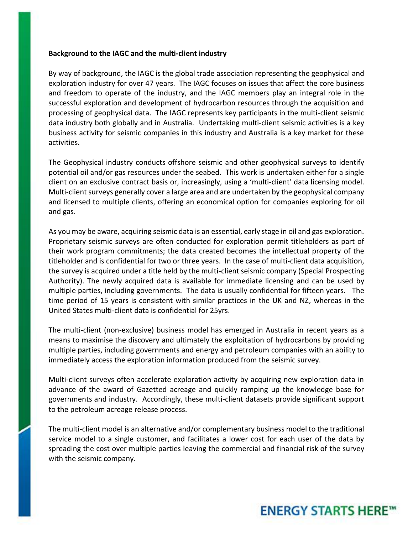### **Background to the IAGC and the multi-client industry**

By way of background, the IAGC is the global trade association representing the geophysical and exploration industry for over 47 years. The IAGC focuses on issues that affect the core business and freedom to operate of the industry, and the IAGC members play an integral role in the successful exploration and development of hydrocarbon resources through the acquisition and processing of geophysical data. The IAGC represents key participants in the multi-client seismic data industry both globally and in Australia. Undertaking multi-client seismic activities is a key business activity for seismic companies in this industry and Australia is a key market for these activities.

The Geophysical industry conducts offshore seismic and other geophysical surveys to identify potential oil and/or gas resources under the seabed. This work is undertaken either for a single client on an exclusive contract basis or, increasingly, using a 'multi-client' data licensing model. Multi-client surveys generally cover a large area and are undertaken by the geophysical company and licensed to multiple clients, offering an economical option for companies exploring for oil and gas.

As you may be aware, acquiring seismic data is an essential, early stage in oil and gas exploration. Proprietary seismic surveys are often conducted for exploration permit titleholders as part of their work program commitments; the data created becomes the intellectual property of the titleholder and is confidential for two or three years. In the case of multi-client data acquisition, the survey is acquired under a title held by the multi-client seismic company (Special Prospecting Authority). The newly acquired data is available for immediate licensing and can be used by multiple parties, including governments. The data is usually confidential for fifteen years. The time period of 15 years is consistent with similar practices in the UK and NZ, whereas in the United States multi-client data is confidential for 25yrs.

The multi-client (non-exclusive) business model has emerged in Australia in recent years as a means to maximise the discovery and ultimately the exploitation of hydrocarbons by providing multiple parties, including governments and energy and petroleum companies with an ability to immediately access the exploration information produced from the seismic survey.

Multi-client surveys often accelerate exploration activity by acquiring new exploration data in advance of the award of Gazetted acreage and quickly ramping up the knowledge base for governments and industry. Accordingly, these multi-client datasets provide significant support to the petroleum acreage release process.

The multi-client model is an alternative and/or complementary business model to the traditional service model to a single customer, and facilitates a lower cost for each user of the data by spreading the cost over multiple parties leaving the commercial and financial risk of the survey with the seismic company.

## **ENERGY STARTS HERE™**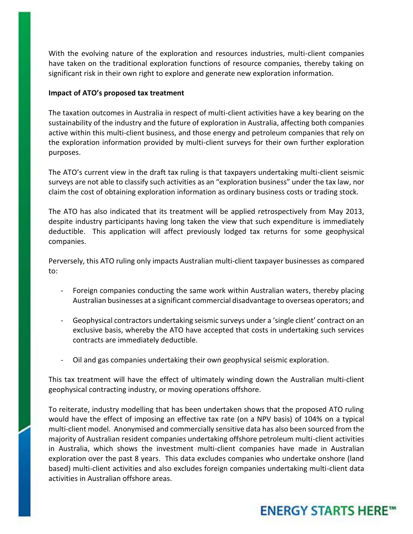With the evolving nature of the exploration and resources industries, multi-client companies have taken on the traditional exploration functions of resource companies, thereby taking on significant risk in their own right to explore and generate new exploration information.

### **Impact of ATO's proposed tax treatment**

The taxation outcomes in Australia in respect of multi-client activities have a key bearing on the sustainability of the industry and the future of exploration in Australia, affecting both companies active within this multi-client business, and those energy and petroleum companies that rely on the exploration information provided by multi-client surveys for their own further exploration purposes.

The ATO's current view in the draft tax ruling is that taxpayers undertaking multi-client seismic surveys are not able to classify such activities as an "exploration business" under the tax law, nor claim the cost of obtaining exploration information as ordinary business costs or trading stock.

The ATO has also indicated that its treatment will be applied retrospectively from May 2013, despite industry participants having long taken the view that such expenditure is immediately deductible. This application will affect previously lodged tax returns for some geophysical companies.

Perversely, this ATO ruling only impacts Australian multi-client taxpayer businesses as compared to:

- Foreign companies conducting the same work within Australian waters, thereby placing Australian businesses at a significant commercial disadvantage to overseas operators; and
- Geophysical contractors undertaking seismic surveys under a 'single client' contract on an exclusive basis, whereby the ATO have accepted that costs in undertaking such services contracts are immediately deductible.
- Oil and gas companies undertaking their own geophysical seismic exploration.

This tax treatment will have the effect of ultimately winding down the Australian multi-client geophysical contracting industry, or moving operations offshore.

To reiterate, industry modelling that has been undertaken shows that the proposed ATO ruling would have the effect of imposing an effective tax rate (on a NPV basis) of 104% on a typical multi-client model. Anonymised and commercially sensitive data has also been sourced from the majority of Australian resident companies undertaking offshore petroleum multi-client activities in Australia, which shows the investment multi-client companies have made in Australian exploration over the past 8 years. This data excludes companies who undertake onshore (land based) multi-client activities and also excludes foreign companies undertaking multi-client data activities in Australian offshore areas.

# **ENERGY STARTS HERE™**